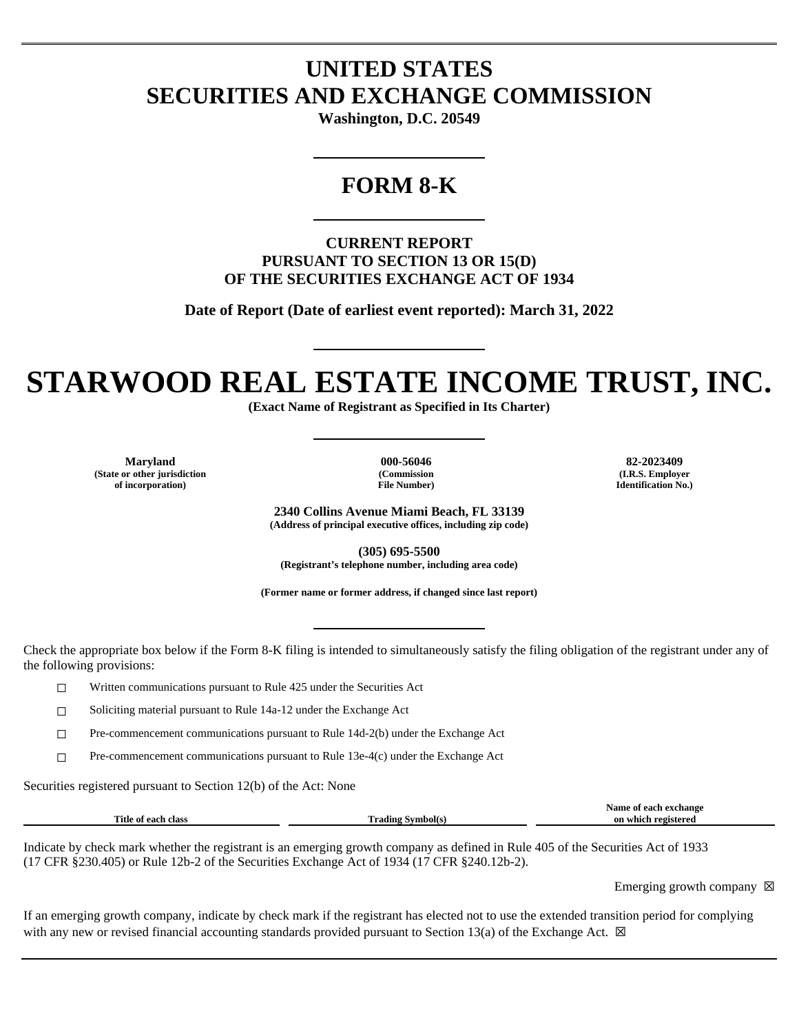## **UNITED STATES SECURITIES AND EXCHANGE COMMISSION**

**Washington, D.C. 20549**

### **FORM 8-K**

**CURRENT REPORT PURSUANT TO SECTION 13 OR 15(D) OF THE SECURITIES EXCHANGE ACT OF 1934**

**Date of Report (Date of earliest event reported): March 31, 2022**

# **STARWOOD REAL ESTATE INCOME TRUST, INC.**

**(Exact Name of Registrant as Specified in Its Charter)**

**Maryland 000-56046 82-2023409 (State or other jurisdiction of incorporation)**

**(Commission File Number)**

**(I.R.S. Employer Identification No.)**

**2340 Collins Avenue Miami Beach, FL 33139 (Address of principal executive offices, including zip code)**

**(305) 695-5500 (Registrant's telephone number, including area code)**

**(Former name or former address, if changed since last report)**

Check the appropriate box below if the Form 8-K filing is intended to simultaneously satisfy the filing obligation of the registrant under any of the following provisions:

☐ Written communications pursuant to Rule 425 under the Securities Act

☐ Soliciting material pursuant to Rule 14a-12 under the Exchange Act

☐ Pre-commencement communications pursuant to Rule 14d-2(b) under the Exchange Act

 $\Box$  Pre-commencement communications pursuant to Rule 13e-4(c) under the Exchange Act

Securities registered pursuant to Section 12(b) of the Act: None

|                                    |              | Name<br><b>Principle</b> |
|------------------------------------|--------------|--------------------------|
| Title<br>clas<br>മാല<br>Оf<br>-211 | m<br>`rading | registered<br>which      |
|                                    |              |                          |

Indicate by check mark whether the registrant is an emerging growth company as defined in Rule 405 of the Securities Act of 1933 (17 CFR §230.405) or Rule 12b-2 of the Securities Exchange Act of 1934 (17 CFR §240.12b-2).

Emerging growth company  $\boxtimes$ 

If an emerging growth company, indicate by check mark if the registrant has elected not to use the extended transition period for complying with any new or revised financial accounting standards provided pursuant to Section 13(a) of the Exchange Act.  $\boxtimes$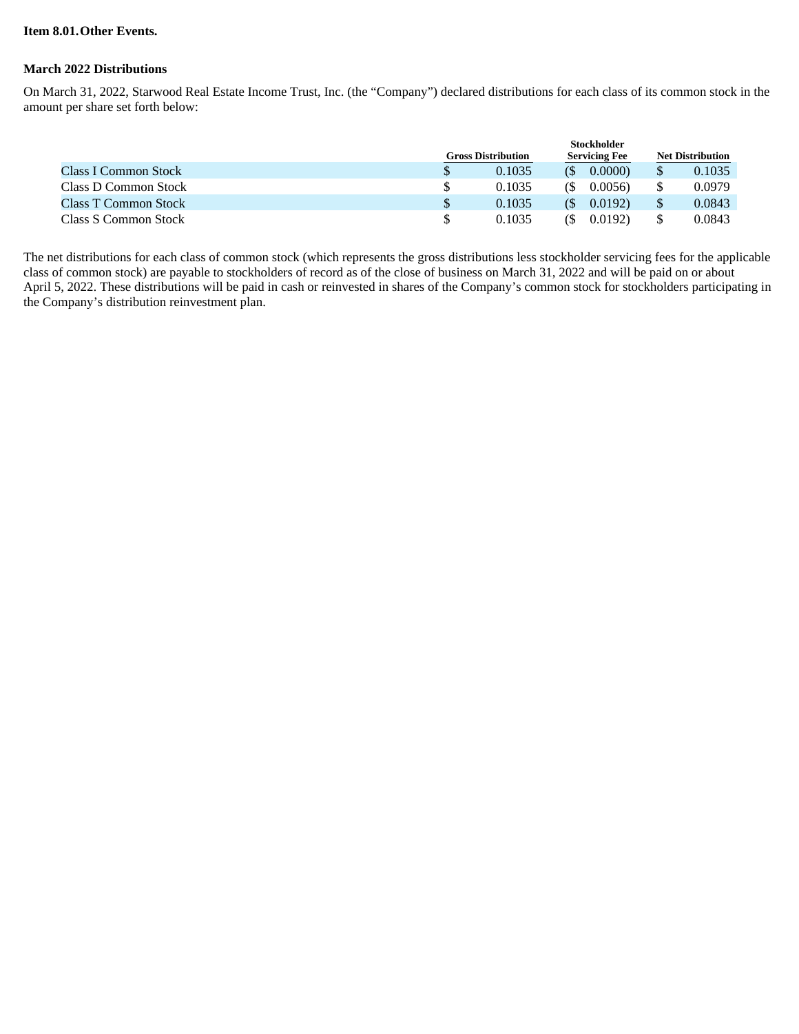#### **Item 8.01.Other Events.**

#### **March 2022 Distributions**

On March 31, 2022, Starwood Real Estate Income Trust, Inc. (the "Company") declared distributions for each class of its common stock in the amount per share set forth below:

|                             | <b>Stockholder</b>        |        |                      |        |                         |        |
|-----------------------------|---------------------------|--------|----------------------|--------|-------------------------|--------|
|                             | <b>Gross Distribution</b> |        | <b>Servicing Fee</b> |        | <b>Net Distribution</b> |        |
| <b>Class I Common Stock</b> |                           | 0.1035 |                      | 0.0000 |                         | 0.1035 |
| Class D Common Stock        |                           | 0.1035 | (S                   | 0.0056 |                         | 0.0979 |
| <b>Class T Common Stock</b> |                           | 0.1035 | (S)                  | 0.0192 |                         | 0.0843 |
| Class S Common Stock        |                           | 0.1035 | CS.                  | 0.0192 |                         | 0.0843 |

The net distributions for each class of common stock (which represents the gross distributions less stockholder servicing fees for the applicable class of common stock) are payable to stockholders of record as of the close of business on March 31, 2022 and will be paid on or about April 5, 2022. These distributions will be paid in cash or reinvested in shares of the Company's common stock for stockholders participating in the Company's distribution reinvestment plan.